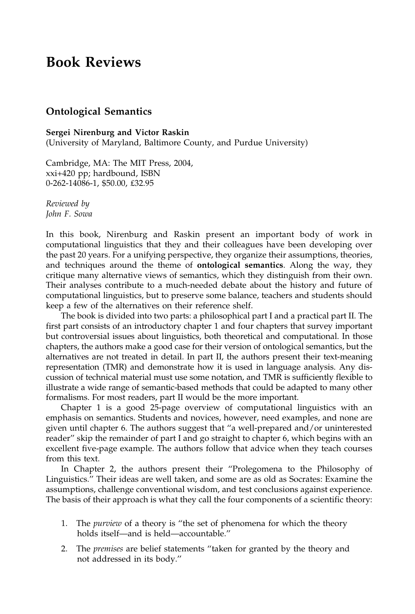## Book Reviews

## Ontological Semantics

## Sergei Nirenburg and Victor Raskin

(University of Maryland, Baltimore County, and Purdue University)

Cambridge, MA: The MIT Press, 2004, xxi+420 pp; hardbound, ISBN 0-262-14086-1, \$50.00, £32.95

Reviewed by John F. Sowa

In this book, Nirenburg and Raskin present an important body of work in computational linguistics that they and their colleagues have been developing over the past 20 years. For a unifying perspective, they organize their assumptions, theories, and techniques around the theme of ontological semantics. Along the way, they critique many alternative views of semantics, which they distinguish from their own. Their analyses contribute to a much-needed debate about the history and future of computational linguistics, but to preserve some balance, teachers and students should keep a few of the alternatives on their reference shelf.

The book is divided into two parts: a philosophical part I and a practical part II. The first part consists of an introductory chapter 1 and four chapters that survey important but controversial issues about linguistics, both theoretical and computational. In those chapters, the authors make a good case for their version of ontological semantics, but the alternatives are not treated in detail. In part II, the authors present their text-meaning representation (TMR) and demonstrate how it is used in language analysis. Any discussion of technical material must use some notation, and TMR is sufficiently flexible to illustrate a wide range of semantic-based methods that could be adapted to many other formalisms. For most readers, part II would be the more important.

Chapter 1 is a good 25-page overview of computational linguistics with an emphasis on semantics. Students and novices, however, need examples, and none are given until chapter 6. The authors suggest that ''a well-prepared and/or uninterested reader'' skip the remainder of part I and go straight to chapter 6, which begins with an excellent five-page example. The authors follow that advice when they teach courses from this text.

In Chapter 2, the authors present their ''Prolegomena to the Philosophy of Linguistics.'' Their ideas are well taken, and some are as old as Socrates: Examine the assumptions, challenge conventional wisdom, and test conclusions against experience. The basis of their approach is what they call the four components of a scientific theory:

- 1. The *purview* of a theory is "the set of phenomena for which the theory holds itself—and is held—accountable.''
- 2. The *premises* are belief statements "taken for granted by the theory and not addressed in its body.''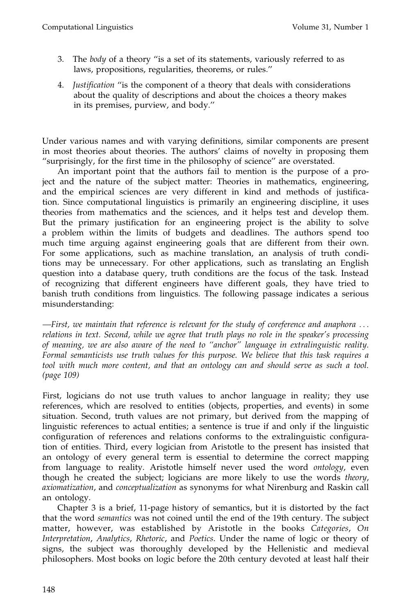- 3. The body of a theory ''is a set of its statements, variously referred to as laws, propositions, regularities, theorems, or rules.''
- 4. Justification ''is the component of a theory that deals with considerations about the quality of descriptions and about the choices a theory makes in its premises, purview, and body.''

Under various names and with varying definitions, similar components are present in most theories about theories. The authors' claims of novelty in proposing them ''surprisingly, for the first time in the philosophy of science'' are overstated.

An important point that the authors fail to mention is the purpose of a project and the nature of the subject matter: Theories in mathematics, engineering, and the empirical sciences are very different in kind and methods of justification. Since computational linguistics is primarily an engineering discipline, it uses theories from mathematics and the sciences, and it helps test and develop them. But the primary justification for an engineering project is the ability to solve a problem within the limits of budgets and deadlines. The authors spend too much time arguing against engineering goals that are different from their own. For some applications, such as machine translation, an analysis of truth conditions may be unnecessary. For other applications, such as translating an English question into a database query, truth conditions are the focus of the task. Instead of recognizing that different engineers have different goals, they have tried to banish truth conditions from linguistics. The following passage indicates a serious misunderstanding:

—First, we maintain that reference is relevant for the study of coreference and anaphora ... relations in text. Second, while we agree that truth plays no role in the speaker's processing of meaning, we are also aware of the need to ''anchor'' language in extralinguistic reality. Formal semanticists use truth values for this purpose. We believe that this task requires a tool with much more content, and that an ontology can and should serve as such a tool. (page 109)

First, logicians do not use truth values to anchor language in reality; they use references, which are resolved to entities (objects, properties, and events) in some situation. Second, truth values are not primary, but derived from the mapping of linguistic references to actual entities; a sentence is true if and only if the linguistic configuration of references and relations conforms to the extralinguistic configuration of entities. Third, every logician from Aristotle to the present has insisted that an ontology of every general term is essential to determine the correct mapping from language to reality. Aristotle himself never used the word ontology, even though he created the subject; logicians are more likely to use the words theory, axiomatization, and conceptualization as synonyms for what Nirenburg and Raskin call an ontology.

Chapter 3 is a brief, 11-page history of semantics, but it is distorted by the fact that the word semantics was not coined until the end of the 19th century. The subject matter, however, was established by Aristotle in the books Categories, On Interpretation, Analytics, Rhetoric, and Poetics. Under the name of logic or theory of signs, the subject was thoroughly developed by the Hellenistic and medieval philosophers. Most books on logic before the 20th century devoted at least half their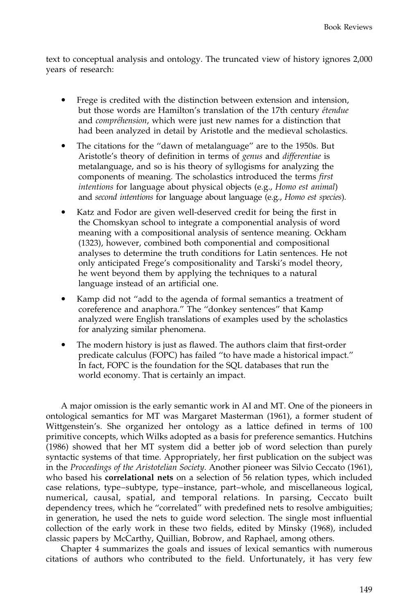text to conceptual analysis and ontology. The truncated view of history ignores 2,000 years of research:

- Frege is credited with the distinction between extension and intension, but those words are Hamilton's translation of the 17th century *étendue* and *compréhension*, which were just new names for a distinction that had been analyzed in detail by Aristotle and the medieval scholastics.
- The citations for the "dawn of metalanguage" are to the 1950s. But Aristotle's theory of definition in terms of genus and differentiae is metalanguage, and so is his theory of syllogisms for analyzing the components of meaning. The scholastics introduced the terms first intentions for language about physical objects (e.g., Homo est animal) and second intentions for language about language (e.g., Homo est species).
- Katz and Fodor are given well-deserved credit for being the first in the Chomskyan school to integrate a componential analysis of word meaning with a compositional analysis of sentence meaning. Ockham (1323), however, combined both componential and compositional analyses to determine the truth conditions for Latin sentences. He not only anticipated Frege's compositionality and Tarski's model theory, he went beyond them by applying the techniques to a natural language instead of an artificial one.
- Kamp did not ''add to the agenda of formal semantics a treatment of coreference and anaphora.'' The ''donkey sentences'' that Kamp analyzed were English translations of examples used by the scholastics for analyzing similar phenomena.
- The modern history is just as flawed. The authors claim that first-order predicate calculus (FOPC) has failed ''to have made a historical impact.'' In fact, FOPC is the foundation for the SQL databases that run the world economy. That is certainly an impact.

A major omission is the early semantic work in AI and MT. One of the pioneers in ontological semantics for MT was Margaret Masterman (1961), a former student of Wittgenstein's. She organized her ontology as a lattice defined in terms of 100 primitive concepts, which Wilks adopted as a basis for preference semantics. Hutchins (1986) showed that her MT system did a better job of word selection than purely syntactic systems of that time. Appropriately, her first publication on the subject was in the Proceedings of the Aristotelian Society. Another pioneer was Silvio Ceccato (1961), who based his correlational nets on a selection of 56 relation types, which included case relations, type–subtype, type–instance, part–whole, and miscellaneous logical, numerical, causal, spatial, and temporal relations. In parsing, Ceccato built dependency trees, which he ''correlated'' with predefined nets to resolve ambiguities; in generation, he used the nets to guide word selection. The single most influential collection of the early work in these two fields, edited by Minsky (1968), included classic papers by McCarthy, Quillian, Bobrow, and Raphael, among others.

Chapter 4 summarizes the goals and issues of lexical semantics with numerous citations of authors who contributed to the field. Unfortunately, it has very few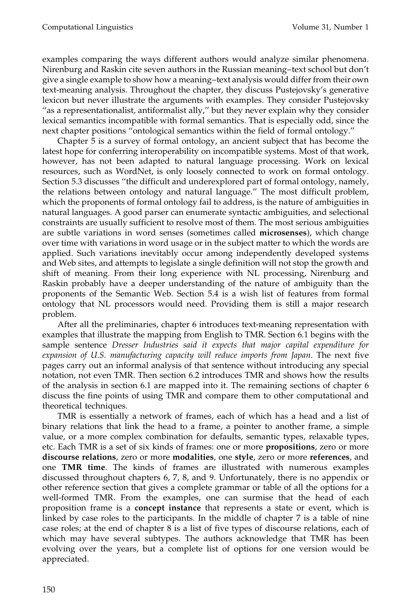examples comparing the ways different authors would analyze similar phenomena. Nirenburg and Raskin cite seven authors in the Russian meaning–text school but don't give a single example to show how a meaning–text analysis would differ from their own text-meaning analysis. Throughout the chapter, they discuss Pustejovsky's generative lexicon but never illustrate the arguments with examples. They consider Pustejovsky ''as a representationalist, antiformalist ally,'' but they never explain why they consider lexical semantics incompatible with formal semantics. That is especially odd, since the next chapter positions ''ontological semantics within the field of formal ontology.''

Chapter 5 is a survey of formal ontology, an ancient subject that has become the latest hope for conferring interoperability on incompatible systems. Most of that work, however, has not been adapted to natural language processing. Work on lexical resources, such as WordNet, is only loosely connected to work on formal ontology. Section 5.3 discusses ''the difficult and underexplored part of formal ontology, namely, the relations between ontology and natural language.'' The most difficult problem, which the proponents of formal ontology fail to address, is the nature of ambiguities in natural languages. A good parser can enumerate syntactic ambiguities, and selectional constraints are usually sufficient to resolve most of them. The most serious ambiguities are subtle variations in word senses (sometimes called microsenses), which change over time with variations in word usage or in the subject matter to which the words are applied. Such variations inevitably occur among independently developed systems and Web sites, and attempts to legislate a single definition will not stop the growth and shift of meaning. From their long experience with NL processing, Nirenburg and Raskin probably have a deeper understanding of the nature of ambiguity than the proponents of the Semantic Web. Section 5.4 is a wish list of features from formal ontology that NL processors would need. Providing them is still a major research problem.

After all the preliminaries, chapter 6 introduces text-meaning representation with examples that illustrate the mapping from English to TMR. Section 6.1 begins with the sample sentence Dresser Industries said it expects that major capital expenditure for expansion of U.S. manufacturing capacity will reduce imports from Japan. The next five pages carry out an informal analysis of that sentence without introducing any special notation, not even TMR. Then section 6.2 introduces TMR and shows how the results of the analysis in section 6.1 are mapped into it. The remaining sections of chapter 6 discuss the fine points of using TMR and compare them to other computational and theoretical techniques.

TMR is essentially a network of frames, each of which has a head and a list of binary relations that link the head to a frame, a pointer to another frame, a simple value, or a more complex combination for defaults, semantic types, relaxable types, etc. Each TMR is a set of six kinds of frames: one or more propositions, zero or more discourse relations, zero or more modalities, one style, zero or more references, and one TMR time. The kinds of frames are illustrated with numerous examples discussed throughout chapters 6, 7, 8, and 9. Unfortunately, there is no appendix or other reference section that gives a complete grammar or table of all the options for a well-formed TMR. From the examples, one can surmise that the head of each proposition frame is a concept instance that represents a state or event, which is linked by case roles to the participants. In the middle of chapter 7 is a table of nine case roles; at the end of chapter 8 is a list of five types of discourse relations, each of which may have several subtypes. The authors acknowledge that TMR has been evolving over the years, but a complete list of options for one version would be appreciated.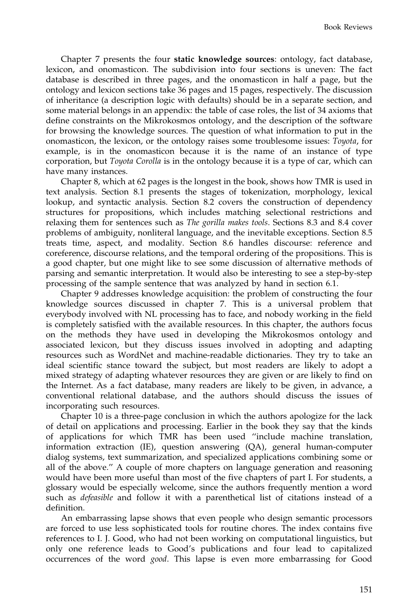Chapter 7 presents the four **static knowledge sources**: ontology, fact database, lexicon, and onomasticon. The subdivision into four sections is uneven: The fact database is described in three pages, and the onomasticon in half a page, but the ontology and lexicon sections take 36 pages and 15 pages, respectively. The discussion of inheritance (a description logic with defaults) should be in a separate section, and some material belongs in an appendix: the table of case roles, the list of 34 axioms that define constraints on the Mikrokosmos ontology, and the description of the software for browsing the knowledge sources. The question of what information to put in the onomasticon, the lexicon, or the ontology raises some troublesome issues: Toyota, for example, is in the onomasticon because it is the name of an instance of type corporation, but Toyota Corolla is in the ontology because it is a type of car, which can have many instances.

Chapter 8, which at 62 pages is the longest in the book, shows how TMR is used in text analysis. Section 8.1 presents the stages of tokenization, morphology, lexical lookup, and syntactic analysis. Section 8.2 covers the construction of dependency structures for propositions, which includes matching selectional restrictions and relaxing them for sentences such as The gorilla makes tools. Sections 8.3 and 8.4 cover problems of ambiguity, nonliteral language, and the inevitable exceptions. Section 8.5 treats time, aspect, and modality. Section 8.6 handles discourse: reference and coreference, discourse relations, and the temporal ordering of the propositions. This is a good chapter, but one might like to see some discussion of alternative methods of parsing and semantic interpretation. It would also be interesting to see a step-by-step processing of the sample sentence that was analyzed by hand in section 6.1.

Chapter 9 addresses knowledge acquisition: the problem of constructing the four knowledge sources discussed in chapter 7. This is a universal problem that everybody involved with NL processing has to face, and nobody working in the field is completely satisfied with the available resources. In this chapter, the authors focus on the methods they have used in developing the Mikrokosmos ontology and associated lexicon, but they discuss issues involved in adopting and adapting resources such as WordNet and machine-readable dictionaries. They try to take an ideal scientific stance toward the subject, but most readers are likely to adopt a mixed strategy of adapting whatever resources they are given or are likely to find on the Internet. As a fact database, many readers are likely to be given, in advance, a conventional relational database, and the authors should discuss the issues of incorporating such resources.

Chapter 10 is a three-page conclusion in which the authors apologize for the lack of detail on applications and processing. Earlier in the book they say that the kinds of applications for which TMR has been used ''include machine translation, information extraction (IE), question answering (QA), general human-computer dialog systems, text summarization, and specialized applications combining some or all of the above.'' A couple of more chapters on language generation and reasoning would have been more useful than most of the five chapters of part I. For students, a glossary would be especially welcome, since the authors frequently mention a word such as defeasible and follow it with a parenthetical list of citations instead of a definition.

An embarrassing lapse shows that even people who design semantic processors are forced to use less sophisticated tools for routine chores. The index contains five references to I. J. Good, who had not been working on computational linguistics, but only one reference leads to Good's publications and four lead to capitalized occurrences of the word good. This lapse is even more embarrassing for Good